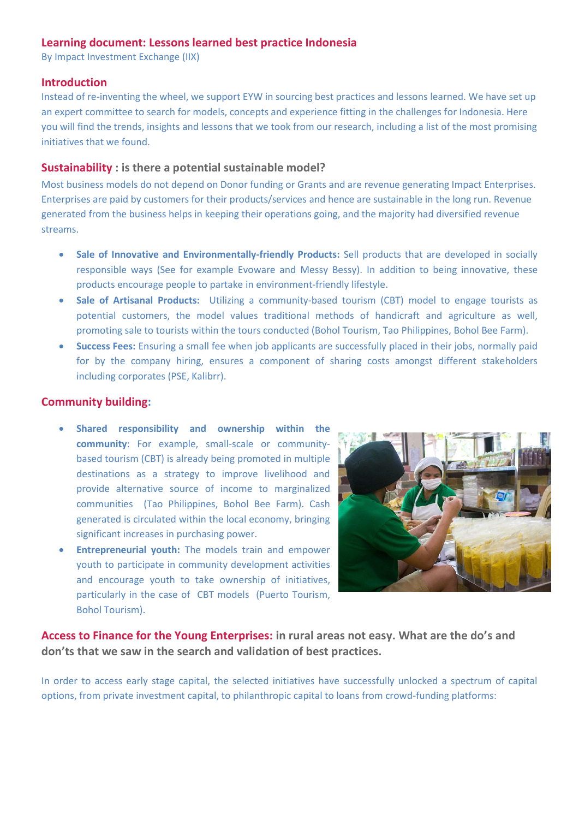# **Learning document: Lessons learned best practice Indonesia**

By Impact Investment Exchange (IIX)

# **Introduction**

Instead of re-inventing the wheel, we support EYW in sourcing best practices and lessons learned. We have set up an expert committee to search for models, concepts and experience fitting in the challenges for Indonesia. Here you will find the trends, insights and lessons that we took from our research, including a list of the most promising initiatives that we found.

## **[Sustainability](https://emotiveprogram.org/learnings-rural-hubs-rural-enterprises/sustainability/) : is there a potential sustainable model?**

Most business models do not depend on Donor funding or Grants and are revenue generating Impact Enterprises. Enterprises are paid by customers for their products/services and hence are sustainable in the long run. Revenue generated from the business helps in keeping their operations going, and the majority had diversified revenue streams.

- **Sale of Innovative and Environmentally-friendly Products:** Sell products that are developed in socially responsible ways (See for example Evoware and Messy Bessy). In addition to being innovative, these products encourage people to partake in environment-friendly lifestyle.
- **Sale of Artisanal Products:** Utilizing a community-based tourism (CBT) model to engage tourists as potential customers, the model values traditional methods of handicraft and agriculture as well, promoting sale to tourists within the tours conducted (Bohol Tourism, Tao Philippines, Bohol Bee Farm).
- **Success Fees:** Ensuring a small fee when job applicants are successfully placed in their jobs, normally paid for by the company hiring, ensures a component of sharing costs amongst different stakeholders including corporates (PSE, Kalibrr).

# **Community building:**

- **Shared responsibility and ownership within the community**: For example, small-scale or communitybased tourism (CBT) is already being promoted in multiple destinations as a strategy to improve livelihood and provide alternative source of income to marginalized communities (Tao Philippines, Bohol Bee Farm). Cash generated is circulated within the local economy, bringing significant increases in purchasing power.
- **Entrepreneurial youth:** The models train and empower youth to participate in community development activities and encourage youth to take ownership of initiatives, particularly in the case of CBT models (Puerto Tourism, Bohol Tourism).



**[Access to Finance for the Young Enterprises:](https://www.emotiveprogram.org/learnings-rural-hubs-rural-enterprises/community-leadership/) in rural areas not easy. What are the do's and don'ts that we saw in the search and validation of best practices.**

In order to access early stage capital, the selected initiatives have successfully unlocked a spectrum of capital options, from private investment capital, to philanthropic capital to loans from crowd-funding platforms: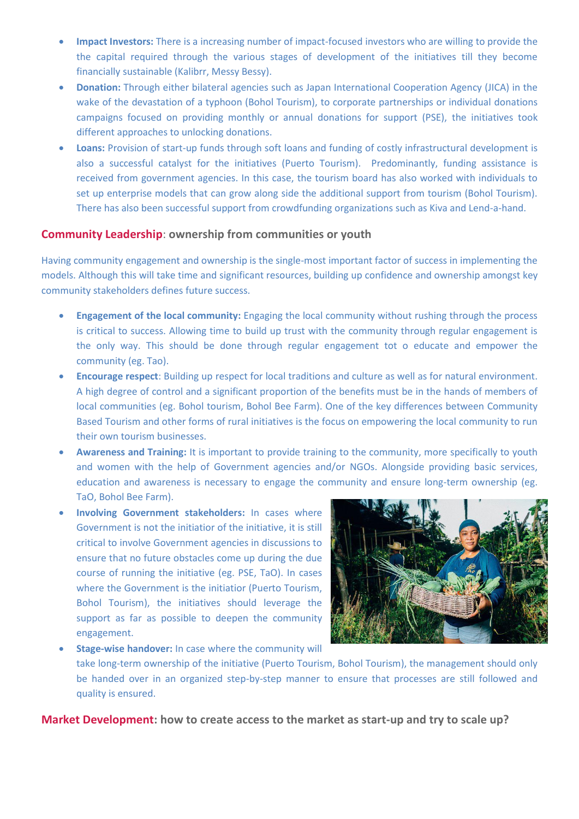- **Impact Investors:** There is a increasing number of impact-focused investors who are willing to provide the the capital required through the various stages of development of the initiatives till they become financially sustainable (Kalibrr, Messy Bessy).
- **Donation:** Through either bilateral agencies such as Japan International Cooperation Agency (JICA) in the wake of the devastation of a typhoon (Bohol Tourism), to corporate partnerships or individual donations campaigns focused on providing monthly or annual donations for support (PSE), the initiatives took different approaches to unlocking donations.
- **Loans:** Provision of start-up funds through soft loans and funding of costly infrastructural development is also a successful catalyst for the initiatives (Puerto Tourism). Predominantly, funding assistance is received from government agencies. In this case, the tourism board has also worked with individuals to set up enterprise models that can grow along side the additional support from tourism (Bohol Tourism). There has also been successful support from crowdfunding organizations such as Kiva and Lend-a-hand.

# **[Community Leadership](https://emotiveprogram.org/learnings-rural-hubs-rural-enterprises/community-leadership/)**: **ownership from communities or youth**

Having community engagement and ownership is the single-most important factor of success in implementing the models. Although this will take time and significant resources, building up confidence and ownership amongst key community stakeholders defines future success.

- **Engagement of the local community:** Engaging the local community without rushing through the process is critical to success. Allowing time to build up trust with the community through regular engagement is the only way. This should be done through regular engagement tot o educate and empower the community (eg. Tao).
- **Encourage respect**: Building up respect for local traditions and culture as well as for natural environment. A high degree of control and a significant proportion of the benefits must be in the hands of members of local communities (eg. Bohol tourism, Bohol Bee Farm). One of the key differences between Community Based Tourism and other forms of rural initiatives is the focus on empowering the local community to run their own tourism businesses.
- **Awareness and Training:** It is important to provide training to the community, more specifically to youth and women with the help of Government agencies and/or NGOs. Alongside providing basic services, education and awareness is necessary to engage the community and ensure long-term ownership (eg. TaO, Bohol Bee Farm).
- **Involving Government stakeholders:** In cases where Government is not the initiatior of the initiative, it is still critical to involve Government agencies in discussions to ensure that no future obstacles come up during the due course of running the initiative (eg. PSE, TaO). In cases where the Government is the initiatior (Puerto Tourism, Bohol Tourism), the initiatives should leverage the support as far as possible to deepen the community engagement.



• **Stage-wise handover:** In case where the community will take long-term ownership of the initiative (Puerto Tourism, Bohol Tourism), the management should only be handed over in an organized step-by-step manner to ensure that processes are still followed and quality is ensured.

**[Market Development:](https://emotiveprogram.org/learnings-rural-hubs-rural-enterprises/market-development/) how to create access to the market as start-up and try to scale up?**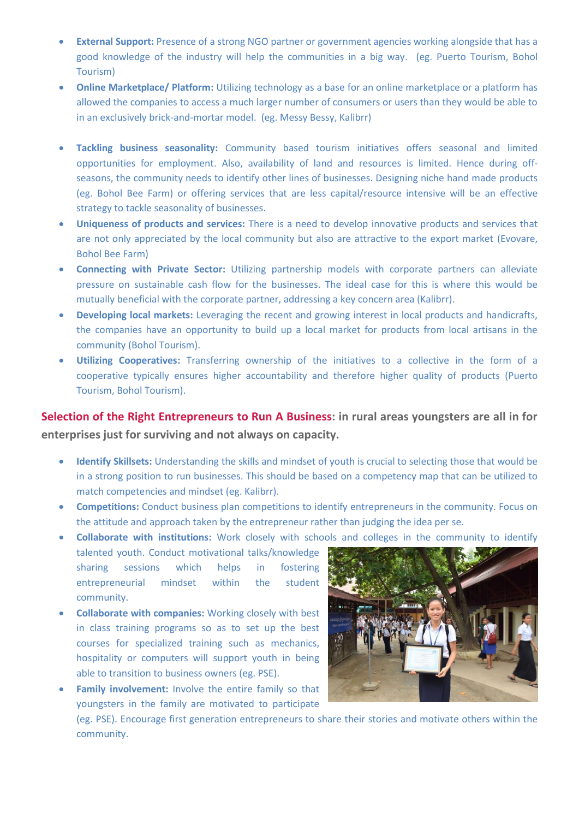- **External Support:** Presence of a strong NGO partner or government agencies working alongside that has a good knowledge of the industry will help the communities in a big way. (eg. Puerto Tourism, Bohol Tourism)
- **Online Marketplace/ Platform:** Utilizing technology as a base for an online marketplace or a platform has allowed the companies to access a much larger number of consumers or users than they would be able to in an exclusively brick-and-mortar model. (eg. Messy Bessy, Kalibrr)
- **Tackling business seasonality:** Community based tourism initiatives offers seasonal and limited opportunities for employment. Also, availability of land and resources is limited. Hence during offseasons, the community needs to identify other lines of businesses. Designing niche hand made products (eg. Bohol Bee Farm) or offering services that are less capital/resource intensive will be an effective strategy to tackle seasonality of businesses.
- **Uniqueness of products and services:** There is a need to develop innovative products and services that are not only appreciated by the local community but also are attractive to the export market (Evovare, Bohol Bee Farm)
- **Connecting with Private Sector:** Utilizing partnership models with corporate partners can alleviate pressure on sustainable cash flow for the businesses. The ideal case for this is where this would be mutually beneficial with the corporate partner, addressing a key concern area (Kalibrr).
- **Developing local markets:** Leveraging the recent and growing interest in local products and handicrafts, the companies have an opportunity to build up a local market for products from local artisans in the community (Bohol Tourism).
- **Utilizing Cooperatives:** Transferring ownership of the initiatives to a collective in the form of a cooperative typically ensures higher accountability and therefore higher quality of products (Puerto Tourism, Bohol Tourism).

**[Selection of the Right Entrepreneurs](https://emotiveprogram.org/learnings-rural-hubs-rural-enterprises/selection-right-youngsters-run-business/) to Run A Business: in rural areas youngsters are all in for enterprises just for surviving and not always on capacity.** 

- **Identify Skillsets:** Understanding the skills and mindset of youth is crucial to selecting those that would be in a strong position to run businesses. This should be based on a competency map that can be utilized to match competencies and mindset (eg. Kalibrr).
- **Competitions:** Conduct business plan competitions to identify entrepreneurs in the community. Focus on the attitude and approach taken by the entrepreneur rather than judging the idea per se.
- **Collaborate with institutions:** Work closely with schools and colleges in the community to identify talented youth. Conduct motivational talks/knowledge sharing sessions which helps in fostering entrepreneurial mindset within the student community.
- **Collaborate with companies:** Working closely with best in class training programs so as to set up the best courses for specialized training such as mechanics, hospitality or computers will support youth in being able to transition to business owners (eg. PSE).
- **Family involvement:** Involve the entire family so that youngsters in the family are motivated to participate



(eg. PSE). Encourage first generation entrepreneurs to share their stories and motivate others within the community.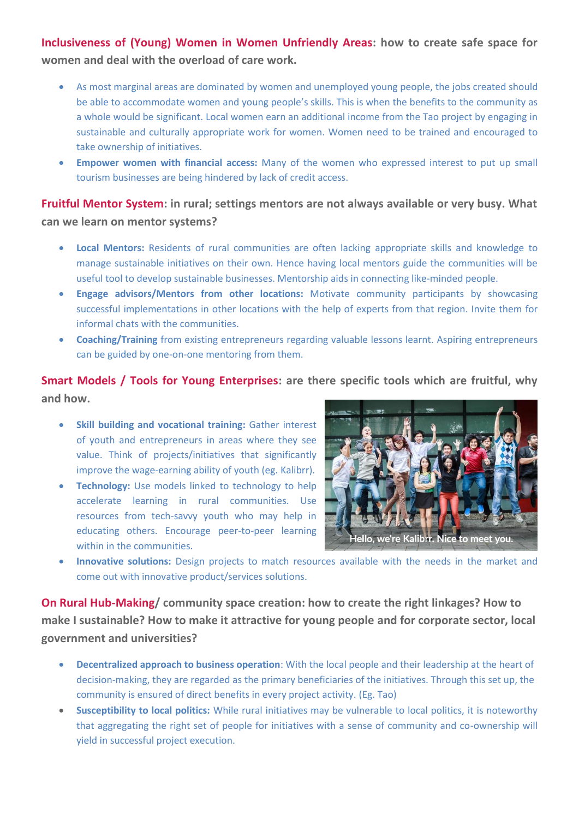# **[Inclusiveness of \(Young\) Women in Women Unfriendly Areas:](https://emotiveprogram.org/learnings-rural-hubs-rural-enterprises/inclusiveness-young-women-women-unfriendly-areas/) how to create safe space for women and deal with the overload of care work.**

- As most marginal areas are dominated by women and unemployed young people, the jobs created should be able to accommodate women and young people's skills. This is when the benefits to the community as a whole would be significant. Local women earn an additional income from the Tao project by engaging in sustainable and culturally appropriate work for women. Women need to be trained and encouraged to take ownership of initiatives.
- **Empower women with financial access:** Many of the women who expressed interest to put up small tourism businesses are being hindered by lack of credit access.

# **[Fruitful Mentor System:](https://emotiveprogram.org/learnings-rural-hubs-rural-enterprises/fruitful-mentor-system/) in rural; settings mentors are not always available or very busy. What can we learn on mentor systems?**

- **Local Mentors:** Residents of rural communities are often lacking appropriate skills and knowledge to manage sustainable initiatives on their own. Hence having local mentors guide the communities will be useful tool to develop sustainable businesses. Mentorship aids in connecting like-minded people.
- **Engage advisors/Mentors from other locations:** Motivate community participants by showcasing successful implementations in other locations with the help of experts from that region. Invite them for informal chats with the communities.
- **Coaching/Training** from existing entrepreneurs regarding valuable lessons learnt. Aspiring entrepreneurs can be guided by one-on-one mentoring from them.

**[Smart Models / Tools for Young Enterprises:](https://emotiveprogram.org/learnings-rural-hubs-rural-enterprises/smart-models-tools-young-enterprises/) are there specific tools which are fruitful, why and how.** 

- **Skill building and vocational training:** Gather interest of youth and entrepreneurs in areas where they see value. Think of projects/initiatives that significantly improve the wage-earning ability of youth (eg. Kalibrr).
- **Technology:** Use models linked to technology to help accelerate learning in rural communities. Use resources from tech-savvy youth who may help in educating others. Encourage peer-to-peer learning within in the communities.



• **Innovative solutions:** Design projects to match resources available with the needs in the market and come out with innovative product/services solutions.

**[On Rural Hub-Making/](https://emotiveprogram.org/learnings-rural-hubs-rural-enterprises/rural-hub-making/) community space creation: how to create the right linkages? How to make I sustainable? How to make it attractive for young people and for corporate sector, local government and universities?**

- **Decentralized approach to business operation**: With the local people and their leadership at the heart of decision-making, they are regarded as the primary beneficiaries of the initiatives. Through this set up, the community is ensured of direct benefits in every project activity. (Eg. Tao)
- **Susceptibility to local politics:** While rural initiatives may be vulnerable to local politics, it is noteworthy that aggregating the right set of people for initiatives with a sense of community and co-ownership will yield in successful project execution.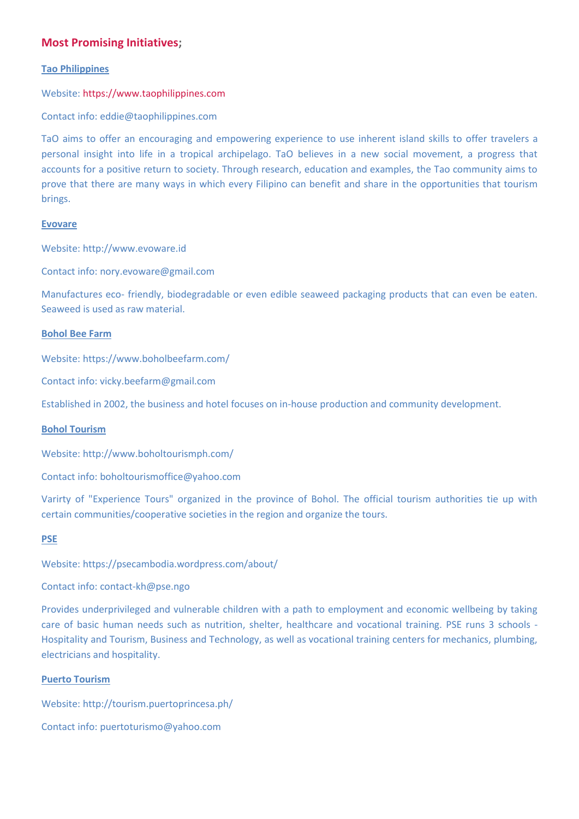# **[Most Promising Initiatives;](https://emotiveprogram.org/learnings-rural-hubs-rural-enterprises/most-promising-initiatives/)**

## **Tao Philippines**

## Website: [https://www.taophilippines.com](https://www.taophilippines.com/)

Contact info: eddie@taophilippines.com

TaO aims to offer an encouraging and empowering experience to use inherent island skills to offer travelers a personal insight into life in a tropical archipelago. TaO believes in a new social movement, a progress that accounts for a positive return to society. Through research, education and examples, the Tao community aims to prove that there are many ways in which every Filipino can benefit and share in the opportunities that tourism brings.

#### **Evovare**

Website: http://www.evoware.id

Contact info: nory.evoware@gmail.com

Manufactures eco- friendly, biodegradable or even edible seaweed packaging products that can even be eaten. Seaweed is used as raw material.

### **Bohol Bee Farm**

Website: https://www.boholbeefarm.com/

Contact info: vicky.beefarm@gmail.com

Established in 2002, the business and hotel focuses on in-house production and community development.

#### **Bohol Tourism**

Website: http://www.boholtourismph.com/

Contact info: boholtourismoffice@yahoo.com

Varirty of "Experience Tours" organized in the province of Bohol. The official tourism authorities tie up with certain communities/cooperative societies in the region and organize the tours.

# **PSE**

Website: https://psecambodia.wordpress.com/about/

Contact info: contact-kh@pse.ngo

Provides underprivileged and vulnerable children with a path to employment and economic wellbeing by taking care of basic human needs such as nutrition, shelter, healthcare and vocational training. PSE runs 3 schools - Hospitality and Tourism, Business and Technology, as well as vocational training centers for mechanics, plumbing, electricians and hospitality.

#### **Puerto Tourism**

Website: http://tourism.puertoprincesa.ph/

Contact info: puertoturismo@yahoo.com